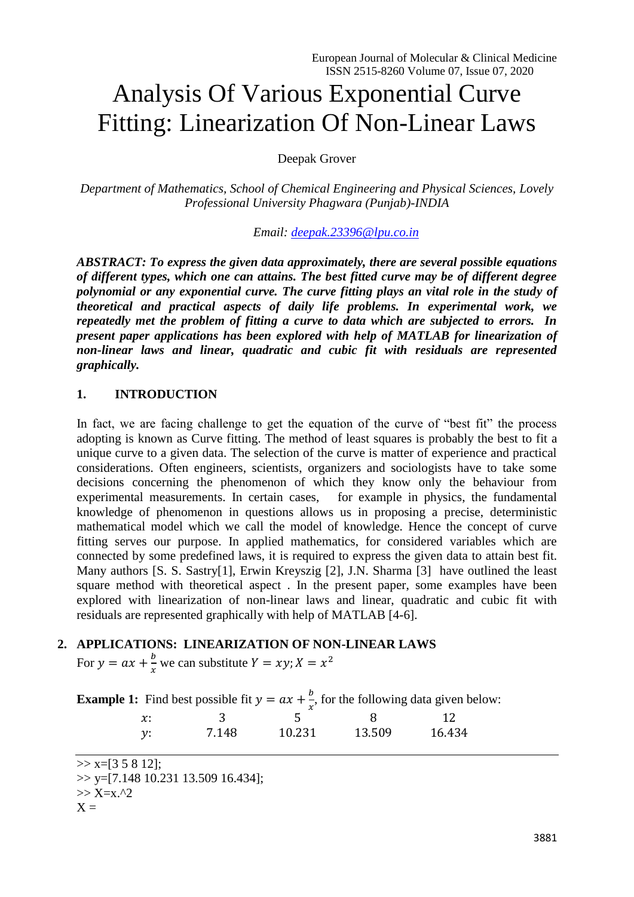# Analysis Of Various Exponential Curve Fitting: Linearization Of Non-Linear Laws

Deepak Grover

*Department of Mathematics, School of Chemical Engineering and Physical Sciences, Lovely Professional University Phagwara (Punjab)-INDIA*

*Email: [deepak.23396@lpu.co.in](mailto:deepak.23396@lpu.co.in)*

*ABSTRACT: To express the given data approximately, there are several possible equations of different types, which one can attains. The best fitted curve may be of different degree polynomial or any exponential curve. The curve fitting plays an vital role in the study of theoretical and practical aspects of daily life problems. In experimental work, we repeatedly met the problem of fitting a curve to data which are subjected to errors. In present paper applications has been explored with help of MATLAB for linearization of non-linear laws and linear, quadratic and cubic fit with residuals are represented graphically.*

## **1. INTRODUCTION**

In fact, we are facing challenge to get the equation of the curve of "best fit" the process adopting is known as Curve fitting. The method of least squares is probably the best to fit a unique curve to a given data. The selection of the curve is matter of experience and practical considerations. Often engineers, scientists, organizers and sociologists have to take some decisions concerning the phenomenon of which they know only the behaviour from experimental measurements. In certain cases, for example in physics, the fundamental knowledge of phenomenon in questions allows us in proposing a precise, deterministic mathematical model which we call the model of knowledge. Hence the concept of curve fitting serves our purpose. In applied mathematics, for considered variables which are connected by some predefined laws, it is required to express the given data to attain best fit. Many authors [S. S. Sastry[1], Erwin Kreyszig [2], J.N. Sharma [3] have outlined the least square method with theoretical aspect . In the present paper, some examples have been explored with linearization of non-linear laws and linear, quadratic and cubic fit with residuals are represented graphically with help of MATLAB [4-6].

## **2. APPLICATIONS: LINEARIZATION OF NON-LINEAR LAWS**

For  $y = ax + \frac{b}{a}$  $\frac{b}{x}$  we can substitute  $Y = xy$ ;  $X = x^2$ 

**Example 1:** Find best possible fit  $y = ax + \frac{b}{b}$  $\frac{\partial}{\partial x}$ , for the following data given below:

|          |       | ᆺ      |        |        |
|----------|-------|--------|--------|--------|
| $\chi$ : |       | ∽      |        |        |
| v:       | 7.148 | 10.231 | 13.509 | 16.434 |

 $\gg$  x=[3 5 8 12];

 $\gg$  y=[7.148 10.231 13.509 16.434];

 $>> X=x.^2$ 

 $X =$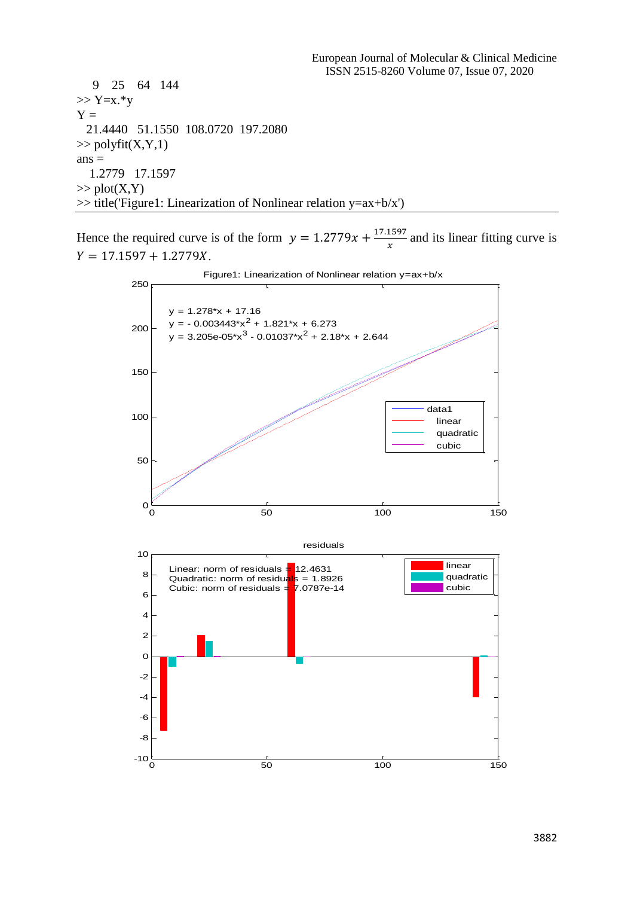9 25 64 144  $>> Y=x.*y$  $Y =$  21.4440 51.1550 108.0720 197.2080  $\gg$  polyfit(X,Y,1)  $ans =$  1.2779 17.1597  $\gg$  plot(X,Y) >> title('Figure1: Linearization of Nonlinear relation y=ax+b/x')

Hence the required curve is of the form  $y = 1.2779x + \frac{17.1597}{x}$  $\frac{1397}{x}$  and its linear fitting curve is  $Y = 17.1597 + 1.2779X.$ 

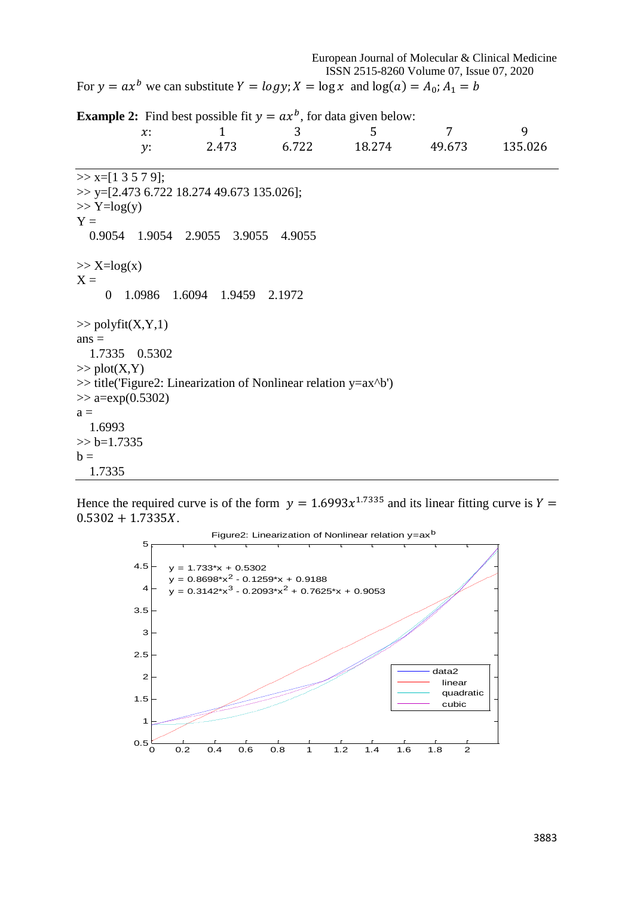European Journal of Molecular & Clinical Medicine ISSN 2515-8260 Volume 07, Issue 07, 2020 For  $y = ax^b$  we can substitute  $Y = log y$ ;  $X = log x$  and  $log(a) = A_0$ ;  $A_1 = b$ **Example 2:** Find best possible fit  $y = ax^b$ , for data given below: x: 1 3 5 7 9 : 2.473 6.722 18.274 49.673 135.026  $\gg$  x=[1 3 5 7 9]; >> y=[2.473 6.722 18.274 49.673 135.026];  $\gg$  Y=log(y)  $Y =$  0.9054 1.9054 2.9055 3.9055 4.9055  $\gg$  X=log(x)  $X =$  0 1.0986 1.6094 1.9459 2.1972  $\gg$  polyfit(X,Y,1)  $ans =$  1.7335 0.5302  $\gg$  plot(X,Y) >> title('Figure2: Linearization of Nonlinear relation y=ax^b')  $\gg$  a=exp(0.5302)  $a =$  1.6993  $>> b=1.7335$  $b =$ 

Hence the required curve is of the form  $y = 1.6993x^{1.7335}$  and its linear fitting curve is  $Y =$  $0.5302 + 1.7335X$ .

1.7335

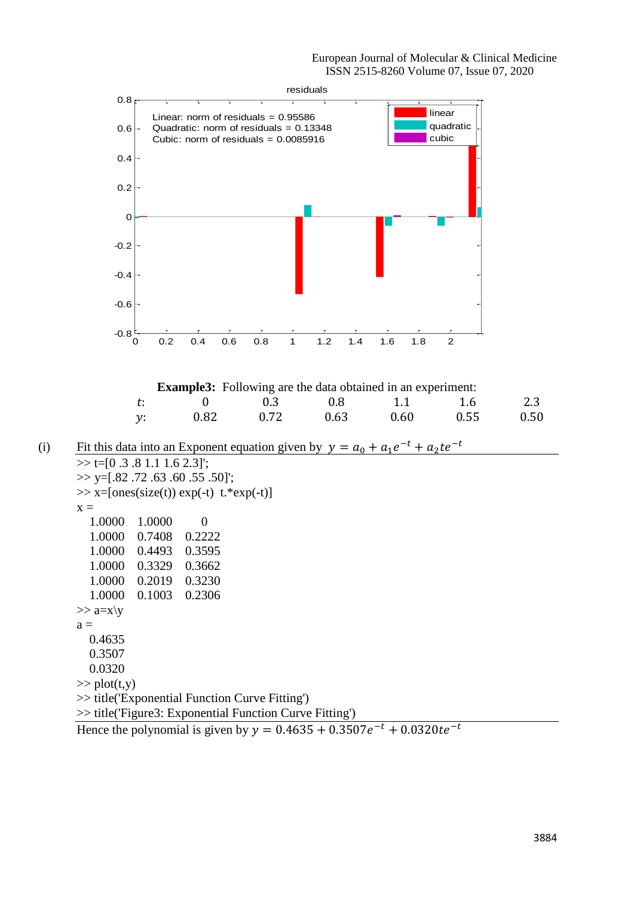

Hence the polynomial is given by  $y = 0.4635 + 0.3507e^{-t} + 0.0320te^{-t}$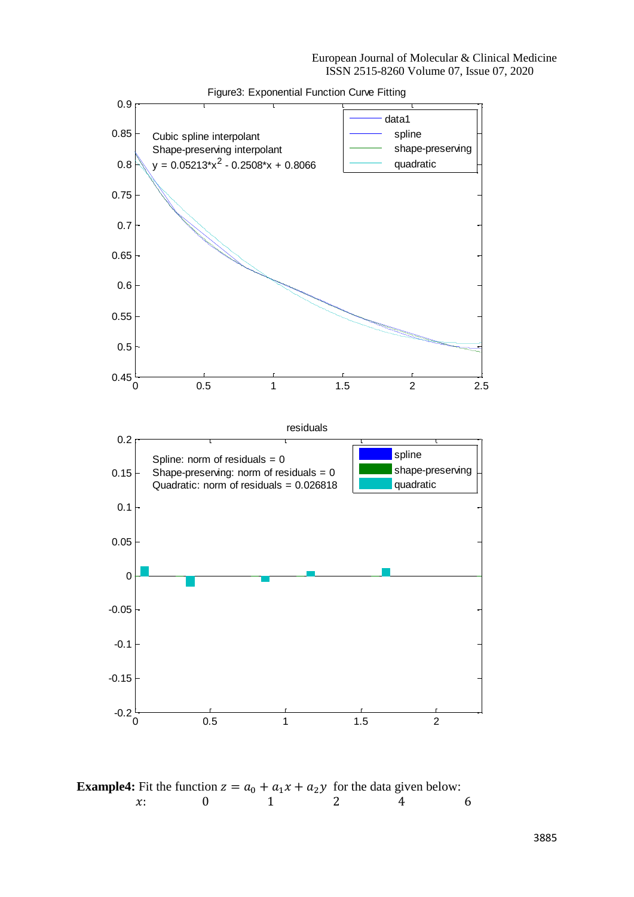European Journal of Molecular & Clinical Medicine ISSN 2515-8260 Volume 07, Issue 07, 2020



**Example4:** Fit the function  $z = a_0 + a_1x + a_2y$  for the data given below:<br> $x: 0 \t 1 \t 2 \t 4$ x: 0 1 2 4 6

3885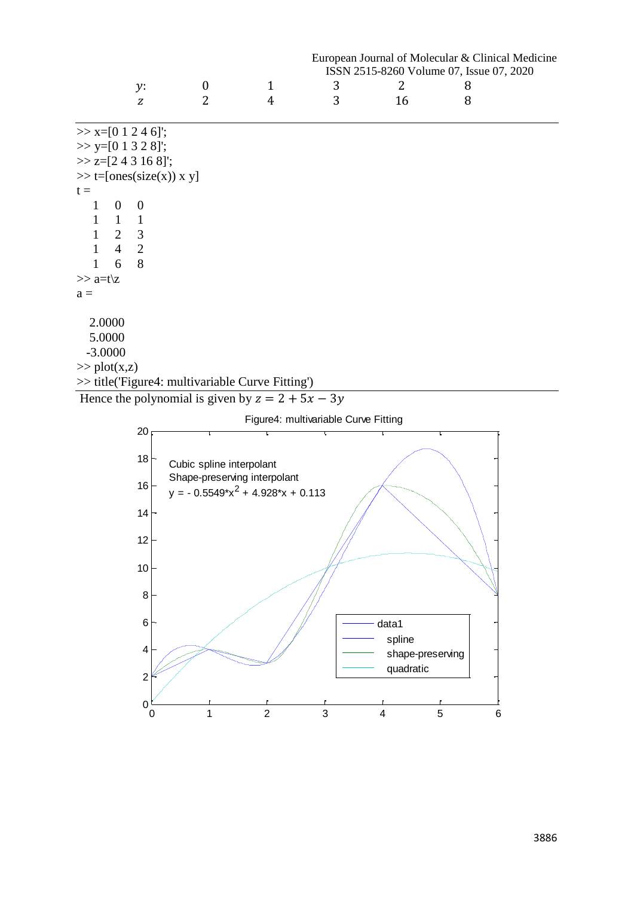|              |                                  |                                                    | European Journal of Molecular & Clinical Medicine |                                          |    |   |  |
|--------------|----------------------------------|----------------------------------------------------|---------------------------------------------------|------------------------------------------|----|---|--|
|              |                                  |                                                    |                                                   | ISSN 2515-8260 Volume 07, Issue 07, 2020 |    |   |  |
|              | y:                               | $\boldsymbol{0}$                                   | $\mathbf{1}$                                      | 3                                        | 2  | 8 |  |
|              | Z                                | 2                                                  | 4                                                 | 3                                        | 16 | 8 |  |
|              | $\gg$ x=[0 1 2 4 6]';            |                                                    |                                                   |                                          |    |   |  |
|              | $\gg$ y=[0 1 3 2 8]';            |                                                    |                                                   |                                          |    |   |  |
|              | $\gg$ z=[2 4 3 16 8]';           |                                                    |                                                   |                                          |    |   |  |
|              | $\gg$ t=[ones(size(x)) x y]      |                                                    |                                                   |                                          |    |   |  |
| $t =$        |                                  |                                                    |                                                   |                                          |    |   |  |
| 1            | $\boldsymbol{0}$<br>$\mathbf{0}$ |                                                    |                                                   |                                          |    |   |  |
| 1            | 1<br>$\mathbf{1}$                |                                                    |                                                   |                                          |    |   |  |
| $\mathbf{1}$ | 2 3                              |                                                    |                                                   |                                          |    |   |  |
| $\mathbf{1}$ | $\overline{2}$<br>$\overline{4}$ |                                                    |                                                   |                                          |    |   |  |
| 1            | 8<br>6                           |                                                    |                                                   |                                          |    |   |  |
| $\gg$ a=t\z  |                                  |                                                    |                                                   |                                          |    |   |  |
| $a =$        |                                  |                                                    |                                                   |                                          |    |   |  |
| 2.0000       |                                  |                                                    |                                                   |                                          |    |   |  |
| 5.0000       |                                  |                                                    |                                                   |                                          |    |   |  |
| $-3.0000$    |                                  |                                                    |                                                   |                                          |    |   |  |
|              | $\gg$ plot(x,z)                  |                                                    |                                                   |                                          |    |   |  |
|              |                                  | >> title('Figure4: multivariable Curve Fitting')   |                                                   |                                          |    |   |  |
|              |                                  | Hence the polynomial is given by $z = 2 + 5x - 3y$ |                                                   |                                          |    |   |  |

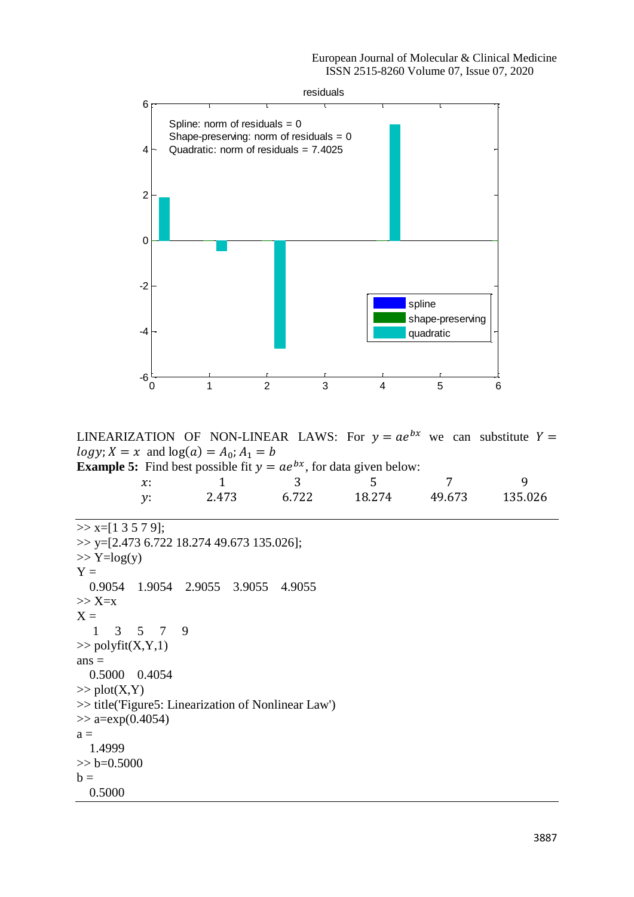

LINEARIZATION OF NON-LINEAR LAWS: For  $y = ae^{bx}$  we can substitute  $Y =$  $log y; X = x$  and  $log(a) = A_0; A_1 = b$ Example

| <b>le 5:</b> Find best possible fit $y = ae^{bx}$ , for data given below: |       |       |        |        |          |  |
|---------------------------------------------------------------------------|-------|-------|--------|--------|----------|--|
| $\chi$ :                                                                  |       |       | $\sim$ |        | <u>g</u> |  |
| v:                                                                        | 2.473 | 6.722 | 18.274 | 49.673 | 135.026  |  |

```
>> x=[1 3 5 7 9];>> y=[2.473 6.722 18.274 49.673 135.026];
\gg Y=log(y)
Y = 0.9054 1.9054 2.9055 3.9055 4.9055
>> X=xX = 1 3 5 7 9
\gg polyfit(X,Y,1)
ans = 0.5000 0.4054
\gg plot(X,Y)
>> title('Figure5: Linearization of Nonlinear Law')
\gg a=exp(0.4054)
a = 1.4999
>> b=0.5000h = 0.5000
```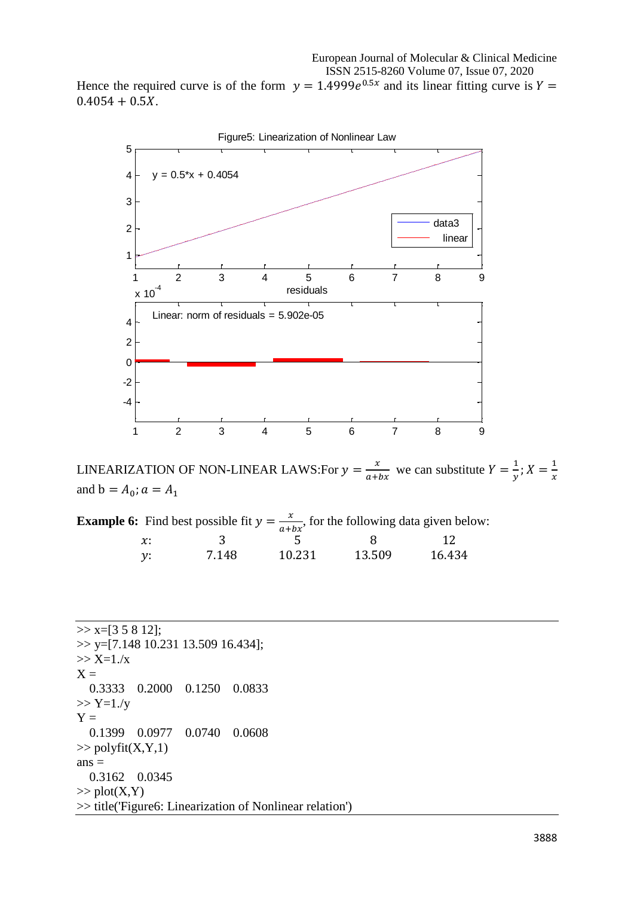Hence the required curve is of the form  $y = 1.4999e^{0.5x}$  and its linear fitting curve is  $Y =$  $0.4054 + 0.5X$ .



LINEARIZATION OF NON-LINEAR LAWS:For  $y = \frac{x}{2}$  $\frac{x}{a+bx}$  we can substitute  $Y = \frac{1}{y}$  $\frac{1}{y}$ ;  $X = \frac{1}{x}$  $\frac{1}{x}$ and  $b = A_0; a = A_1$ 

**Example 6:** Find best possible fit  $y = \frac{x}{x+1}$  $\frac{x}{a+bx}$ , for the following data given below:

| $\chi$ :        |       |        |        | 12     |
|-----------------|-------|--------|--------|--------|
|                 |       |        |        |        |
| $\mathcal{V}$ : | 7.148 | 10.231 | 13.509 | 16.434 |

 $\gg$  x=[3 5 8 12]; >> y=[7.148 10.231 13.509 16.434]; >> X=1./x  $X =$  0.3333 0.2000 0.1250 0.0833  $>> Y=1. / y$  $Y =$  0.1399 0.0977 0.0740 0.0608  $\gg$  polyfit(X,Y,1)  $ans =$  0.3162 0.0345  $\gg$  plot(X,Y) >> title('Figure6: Linearization of Nonlinear relation')